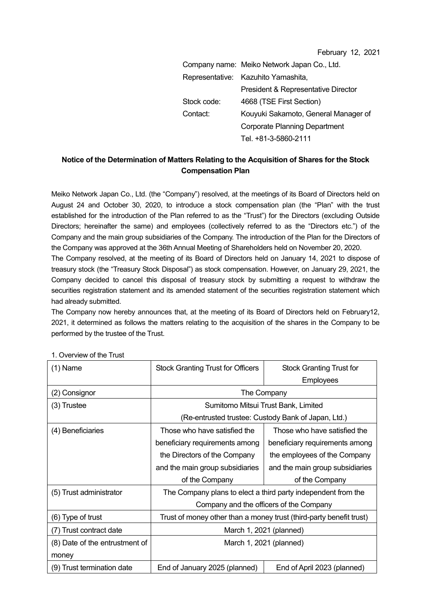February 12, 2021

|             | Company name: Meiko Network Japan Co., Ltd. |
|-------------|---------------------------------------------|
|             | Representative: Kazuhito Yamashita,         |
|             | President & Representative Director         |
| Stock code: | 4668 (TSE First Section)                    |
| Contact:    | Kouyuki Sakamoto, General Manager of        |
|             | <b>Corporate Planning Department</b>        |
|             | Tel. +81-3-5860-2111                        |

## **Notice of the Determination of Matters Relating to the Acquisition of Shares for the Stock Compensation Plan**

Meiko Network Japan Co., Ltd. (the "Company") resolved, at the meetings of its Board of Directors held on August 24 and October 30, 2020, to introduce a stock compensation plan (the "Plan" with the trust established for the introduction of the Plan referred to as the "Trust") for the Directors (excluding Outside Directors; hereinafter the same) and employees (collectively referred to as the "Directors etc.") of the Company and the main group subsidiaries of the Company. The introduction of the Plan for the Directors of the Company was approved at the 36th Annual Meeting of Shareholders held on November 20, 2020.

The Company resolved, at the meeting of its Board of Directors held on January 14, 2021 to dispose of treasury stock (the "Treasury Stock Disposal") as stock compensation. However, on January 29, 2021, the Company decided to cancel this disposal of treasury stock by submitting a request to withdraw the securities registration statement and its amended statement of the securities registration statement which had already submitted.

The Company now hereby announces that, at the meeting of its Board of Directors held on February12, 2021, it determined as follows the matters relating to the acquisition of the shares in the Company to be performed by the trustee of the Trust.

| (1) Name                       | <b>Stock Granting Trust for Officers</b>                            | <b>Stock Granting Trust for</b> |  |
|--------------------------------|---------------------------------------------------------------------|---------------------------------|--|
|                                |                                                                     | Employees                       |  |
| (2) Consignor                  | The Company                                                         |                                 |  |
| (3) Trustee                    | Sumitomo Mitsui Trust Bank, Limited                                 |                                 |  |
|                                | (Re-entrusted trustee: Custody Bank of Japan, Ltd.)                 |                                 |  |
| (4) Beneficiaries              | Those who have satisfied the                                        | Those who have satisfied the    |  |
|                                | beneficiary requirements among                                      | beneficiary requirements among  |  |
|                                | the Directors of the Company                                        | the employees of the Company    |  |
|                                | and the main group subsidiaries                                     | and the main group subsidiaries |  |
|                                | of the Company                                                      | of the Company                  |  |
| (5) Trust administrator        | The Company plans to elect a third party independent from the       |                                 |  |
|                                | Company and the officers of the Company                             |                                 |  |
| (6) Type of trust              | Trust of money other than a money trust (third-party benefit trust) |                                 |  |
| (7) Trust contract date        | March 1, 2021 (planned)                                             |                                 |  |
| (8) Date of the entrustment of | March 1, 2021 (planned)                                             |                                 |  |
| money                          |                                                                     |                                 |  |
| (9) Trust termination date     | End of January 2025 (planned)                                       | End of April 2023 (planned)     |  |

1. Overview of the Trust